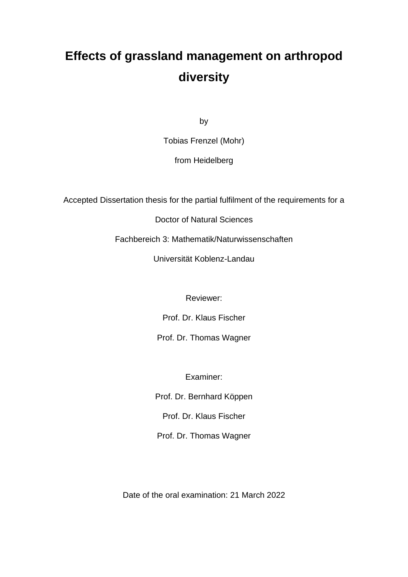# **Effects of grassland management on arthropod diversity**

by

Tobias Frenzel (Mohr)

from Heidelberg

Accepted Dissertation thesis for the partial fulfilment of the requirements for a

Doctor of Natural Sciences

Fachbereich 3: Mathematik/Naturwissenschaften

Universität Koblenz-Landau

Reviewer:

Prof. Dr. Klaus Fischer

Prof. Dr. Thomas Wagner

Examiner:

Prof. Dr. Bernhard Köppen

Prof. Dr. Klaus Fischer

Prof. Dr. Thomas Wagner

Date of the oral examination: 21 March 2022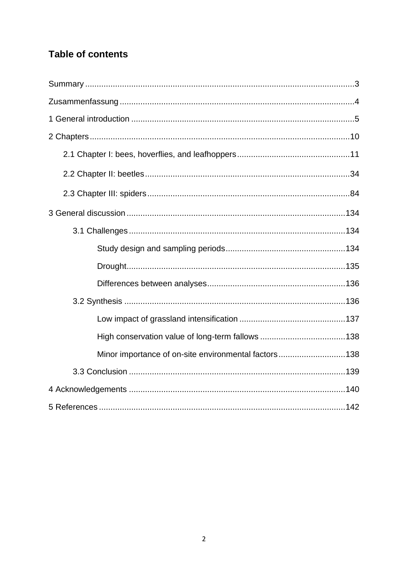## **Table of contents**

| Minor importance of on-site environmental factors138 |  |
|------------------------------------------------------|--|
|                                                      |  |
|                                                      |  |
|                                                      |  |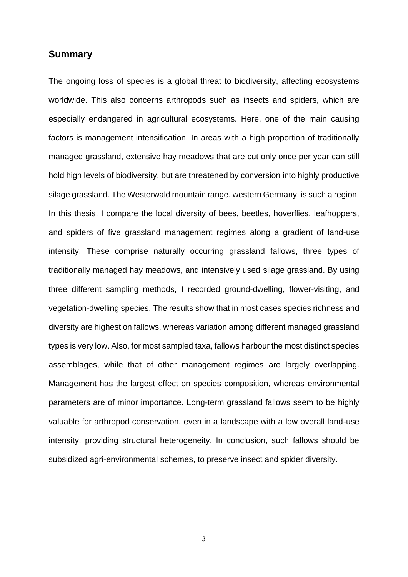## **Summary**

The ongoing loss of species is a global threat to biodiversity, affecting ecosystems worldwide. This also concerns arthropods such as insects and spiders, which are especially endangered in agricultural ecosystems. Here, one of the main causing factors is management intensification. In areas with a high proportion of traditionally managed grassland, extensive hay meadows that are cut only once per year can still hold high levels of biodiversity, but are threatened by conversion into highly productive silage grassland. The Westerwald mountain range, western Germany, is such a region. In this thesis, I compare the local diversity of bees, beetles, hoverflies, leafhoppers, and spiders of five grassland management regimes along a gradient of land-use intensity. These comprise naturally occurring grassland fallows, three types of traditionally managed hay meadows, and intensively used silage grassland. By using three different sampling methods, I recorded ground-dwelling, flower-visiting, and vegetation-dwelling species. The results show that in most cases species richness and diversity are highest on fallows, whereas variation among different managed grassland types is very low. Also, for most sampled taxa, fallows harbour the most distinct species assemblages, while that of other management regimes are largely overlapping. Management has the largest effect on species composition, whereas environmental parameters are of minor importance. Long-term grassland fallows seem to be highly valuable for arthropod conservation, even in a landscape with a low overall land-use intensity, providing structural heterogeneity. In conclusion, such fallows should be subsidized agri-environmental schemes, to preserve insect and spider diversity.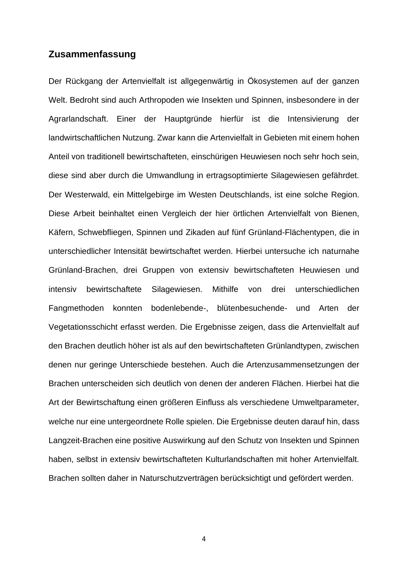## **Zusammenfassung**

Der Rückgang der Artenvielfalt ist allgegenwärtig in Ökosystemen auf der ganzen Welt. Bedroht sind auch Arthropoden wie Insekten und Spinnen, insbesondere in der Agrarlandschaft. Einer der Hauptgründe hierfür ist die Intensivierung der landwirtschaftlichen Nutzung. Zwar kann die Artenvielfalt in Gebieten mit einem hohen Anteil von traditionell bewirtschafteten, einschürigen Heuwiesen noch sehr hoch sein, diese sind aber durch die Umwandlung in ertragsoptimierte Silagewiesen gefährdet. Der Westerwald, ein Mittelgebirge im Westen Deutschlands, ist eine solche Region. Diese Arbeit beinhaltet einen Vergleich der hier örtlichen Artenvielfalt von Bienen, Käfern, Schwebfliegen, Spinnen und Zikaden auf fünf Grünland-Flächentypen, die in unterschiedlicher Intensität bewirtschaftet werden. Hierbei untersuche ich naturnahe Grünland-Brachen, drei Gruppen von extensiv bewirtschafteten Heuwiesen und intensiv bewirtschaftete Silagewiesen. Mithilfe von drei unterschiedlichen Fangmethoden konnten bodenlebende-, blütenbesuchende- und Arten der Vegetationsschicht erfasst werden. Die Ergebnisse zeigen, dass die Artenvielfalt auf den Brachen deutlich höher ist als auf den bewirtschafteten Grünlandtypen, zwischen denen nur geringe Unterschiede bestehen. Auch die Artenzusammensetzungen der Brachen unterscheiden sich deutlich von denen der anderen Flächen. Hierbei hat die Art der Bewirtschaftung einen größeren Einfluss als verschiedene Umweltparameter, welche nur eine untergeordnete Rolle spielen. Die Ergebnisse deuten darauf hin, dass Langzeit-Brachen eine positive Auswirkung auf den Schutz von Insekten und Spinnen haben, selbst in extensiv bewirtschafteten Kulturlandschaften mit hoher Artenvielfalt. Brachen sollten daher in Naturschutzverträgen berücksichtigt und gefördert werden.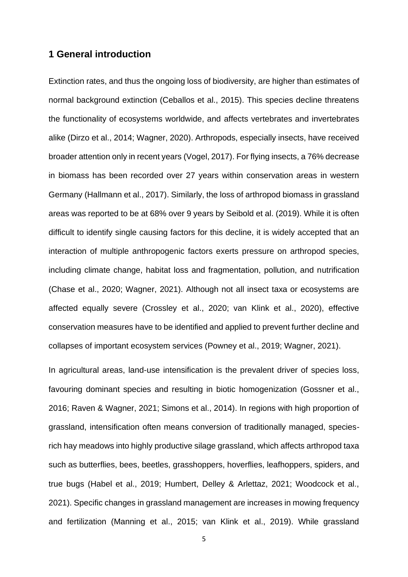## **1 General introduction**

Extinction rates, and thus the ongoing loss of biodiversity, are higher than estimates of normal background extinction (Ceballos et al., 2015). This species decline threatens the functionality of ecosystems worldwide, and affects vertebrates and invertebrates alike (Dirzo et al., 2014; Wagner, 2020). Arthropods, especially insects, have received broader attention only in recent years (Vogel, 2017). For flying insects, a 76% decrease in biomass has been recorded over 27 years within conservation areas in western Germany (Hallmann et al., 2017). Similarly, the loss of arthropod biomass in grassland areas was reported to be at 68% over 9 years by Seibold et al. (2019). While it is often difficult to identify single causing factors for this decline, it is widely accepted that an interaction of multiple anthropogenic factors exerts pressure on arthropod species, including climate change, habitat loss and fragmentation, pollution, and nutrification (Chase et al., 2020; Wagner, 2021). Although not all insect taxa or ecosystems are affected equally severe (Crossley et al., 2020; van Klink et al., 2020), effective conservation measures have to be identified and applied to prevent further decline and collapses of important ecosystem services (Powney et al., 2019; Wagner, 2021).

In agricultural areas, land-use intensification is the prevalent driver of species loss, favouring dominant species and resulting in biotic homogenization (Gossner et al., 2016; Raven & Wagner, 2021; Simons et al., 2014). In regions with high proportion of grassland, intensification often means conversion of traditionally managed, speciesrich hay meadows into highly productive silage grassland, which affects arthropod taxa such as butterflies, bees, beetles, grasshoppers, hoverflies, leafhoppers, spiders, and true bugs (Habel et al., 2019; Humbert, Delley & Arlettaz, 2021; Woodcock et al., 2021). Specific changes in grassland management are increases in mowing frequency and fertilization (Manning et al., 2015; van Klink et al., 2019). While grassland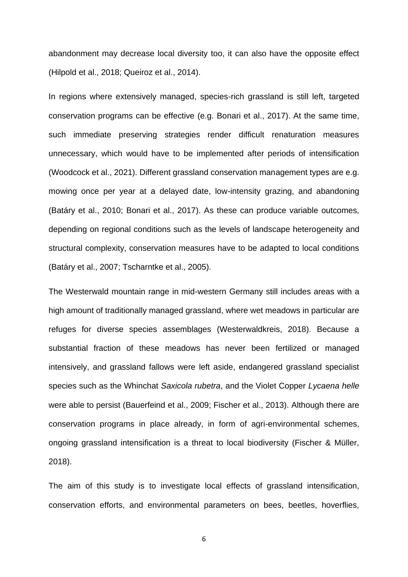abandonment may decrease local diversity too, it can also have the opposite effect (Hilpold et al., 2018; Queiroz et al., 2014).

In regions where extensively managed, species-rich grassland is still left, targeted conservation programs can be effective (e.g. Bonari et al., 2017). At the same time, such immediate preserving strategies render difficult renaturation measures unnecessary, which would have to be implemented after periods of intensification (Woodcock et al., 2021). Different grassland conservation management types are e.g. mowing once per year at a delayed date, low-intensity grazing, and abandoning (Batáry et al., 2010; Bonari et al., 2017). As these can produce variable outcomes, depending on regional conditions such as the levels of landscape heterogeneity and structural complexity, conservation measures have to be adapted to local conditions (Batáry et al., 2007; Tscharntke et al., 2005).

The Westerwald mountain range in mid-western Germany still includes areas with a high amount of traditionally managed grassland, where wet meadows in particular are refuges for diverse species assemblages (Westerwaldkreis, 2018). Because a substantial fraction of these meadows has never been fertilized or managed intensively, and grassland fallows were left aside, endangered grassland specialist species such as the Whinchat *Saxicola rubetra*, and the Violet Copper *Lycaena helle* were able to persist (Bauerfeind et al., 2009; Fischer et al., 2013). Although there are conservation programs in place already, in form of agri-environmental schemes, ongoing grassland intensification is a threat to local biodiversity (Fischer & Müller, 2018).

The aim of this study is to investigate local effects of grassland intensification, conservation efforts, and environmental parameters on bees, beetles, hoverflies,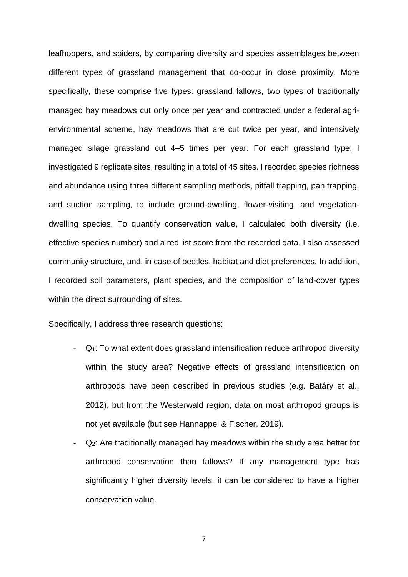leafhoppers, and spiders, by comparing diversity and species assemblages between different types of grassland management that co-occur in close proximity. More specifically, these comprise five types: grassland fallows, two types of traditionally managed hay meadows cut only once per year and contracted under a federal agrienvironmental scheme, hay meadows that are cut twice per year, and intensively managed silage grassland cut 4–5 times per year. For each grassland type, I investigated 9 replicate sites, resulting in a total of 45 sites. I recorded species richness and abundance using three different sampling methods, pitfall trapping, pan trapping, and suction sampling, to include ground-dwelling, flower-visiting, and vegetationdwelling species. To quantify conservation value, I calculated both diversity (i.e. effective species number) and a red list score from the recorded data. I also assessed community structure, and, in case of beetles, habitat and diet preferences. In addition, I recorded soil parameters, plant species, and the composition of land-cover types within the direct surrounding of sites.

Specifically, I address three research questions:

- $-Q_1$ : To what extent does grassland intensification reduce arthropod diversity within the study area? Negative effects of grassland intensification on arthropods have been described in previous studies (e.g. Batáry et al., 2012), but from the Westerwald region, data on most arthropod groups is not yet available (but see Hannappel & Fischer, 2019).
- Q2: Are traditionally managed hay meadows within the study area better for arthropod conservation than fallows? If any management type has significantly higher diversity levels, it can be considered to have a higher conservation value.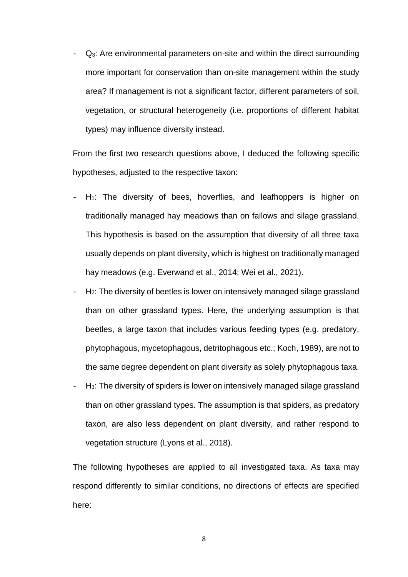$Q<sub>3</sub>$ : Are environmental parameters on-site and within the direct surrounding more important for conservation than on-site management within the study area? If management is not a significant factor, different parameters of soil, vegetation, or structural heterogeneity (i.e. proportions of different habitat types) may influence diversity instead.

From the first two research questions above, I deduced the following specific hypotheses, adjusted to the respective taxon:

- $-H_1$ : The diversity of bees, hoverflies, and leafhoppers is higher on traditionally managed hay meadows than on fallows and silage grassland. This hypothesis is based on the assumption that diversity of all three taxa usually depends on plant diversity, which is highest on traditionally managed hay meadows (e.g. Everwand et al., 2014; Wei et al., 2021).
- H<sub>2</sub>: The diversity of beetles is lower on intensively managed silage grassland than on other grassland types. Here, the underlying assumption is that beetles, a large taxon that includes various feeding types (e.g. predatory, phytophagous, mycetophagous, detritophagous etc.; Koch, 1989), are not to the same degree dependent on plant diversity as solely phytophagous taxa.
- H3: The diversity of spiders is lower on intensively managed silage grassland than on other grassland types. The assumption is that spiders, as predatory taxon, are also less dependent on plant diversity, and rather respond to vegetation structure (Lyons et al., 2018).

The following hypotheses are applied to all investigated taxa. As taxa may respond differently to similar conditions, no directions of effects are specified here: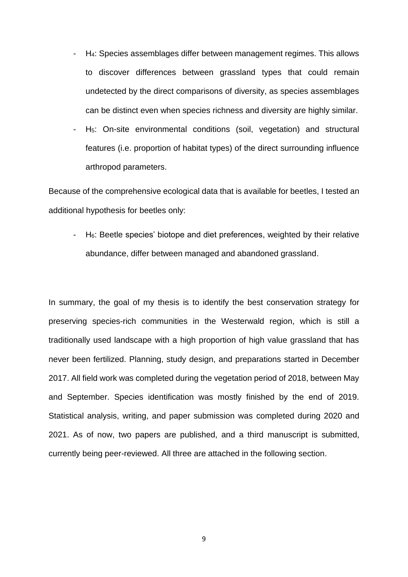- H<sub>4</sub>: Species assemblages differ between management regimes. This allows to discover differences between grassland types that could remain undetected by the direct comparisons of diversity, as species assemblages can be distinct even when species richness and diversity are highly similar.
- H5: On-site environmental conditions (soil, vegetation) and structural features (i.e. proportion of habitat types) of the direct surrounding influence arthropod parameters.

Because of the comprehensive ecological data that is available for beetles, I tested an additional hypothesis for beetles only:

- H6: Beetle species' biotope and diet preferences, weighted by their relative abundance, differ between managed and abandoned grassland.

In summary, the goal of my thesis is to identify the best conservation strategy for preserving species-rich communities in the Westerwald region, which is still a traditionally used landscape with a high proportion of high value grassland that has never been fertilized. Planning, study design, and preparations started in December 2017. All field work was completed during the vegetation period of 2018, between May and September. Species identification was mostly finished by the end of 2019. Statistical analysis, writing, and paper submission was completed during 2020 and 2021. As of now, two papers are published, and a third manuscript is submitted, currently being peer-reviewed. All three are attached in the following section.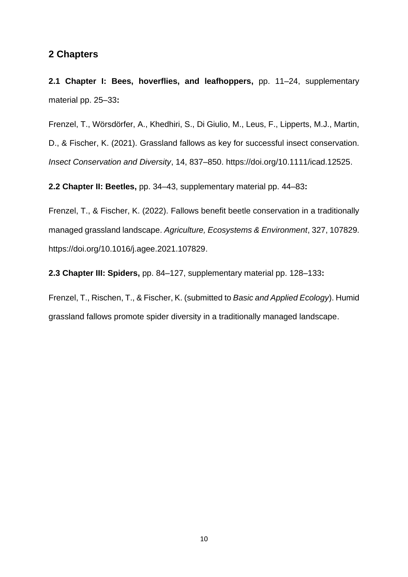## **2 Chapters**

**2.1 Chapter I: Bees, hoverflies, and leafhoppers,** pp. 11–24, supplementary material pp. 25–33**:**

Frenzel, T., Wörsdörfer, A., Khedhiri, S., Di Giulio, M., Leus, F., Lipperts, M.J., Martin, D., & Fischer, K. (2021). Grassland fallows as key for successful insect conservation. *Insect Conservation and Diversity*, 14, 837–850. https://doi.org/10.1111/icad.12525.

**2.2 Chapter II: Beetles,** pp. 34–43, supplementary material pp. 44–83**:**

Frenzel, T., & Fischer, K. (2022). Fallows benefit beetle conservation in a traditionally managed grassland landscape. *Agriculture, Ecosystems & Environment*, 327, 107829. https://doi.org/10.1016/j.agee.2021.107829.

**2.3 Chapter III: Spiders,** pp. 84–127, supplementary material pp. 128–133**:**

Frenzel, T., Rischen, T., & Fischer, K. (submitted to *Basic and Applied Ecology*). Humid grassland fallows promote spider diversity in a traditionally managed landscape.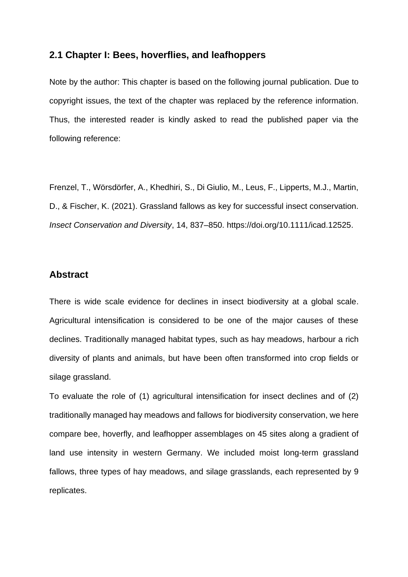## **2.1 Chapter I: Bees, hoverflies, and leafhoppers**

Note by the author: This chapter is based on the following journal publication. Due to copyright issues, the text of the chapter was replaced by the reference information. Thus, the interested reader is kindly asked to read the published paper via the following reference:

Frenzel, T., Wörsdörfer, A., Khedhiri, S., Di Giulio, M., Leus, F., Lipperts, M.J., Martin, D., & Fischer, K. (2021). Grassland fallows as key for successful insect conservation. *Insect Conservation and Diversity*, 14, 837–850. https://doi.org/10.1111/icad.12525.

## **Abstract**

There is wide scale evidence for declines in insect biodiversity at a global scale. Agricultural intensification is considered to be one of the major causes of these declines. Traditionally managed habitat types, such as hay meadows, harbour a rich diversity of plants and animals, but have been often transformed into crop fields or silage grassland.

To evaluate the role of (1) agricultural intensification for insect declines and of (2) traditionally managed hay meadows and fallows for biodiversity conservation, we here compare bee, hoverfly, and leafhopper assemblages on 45 sites along a gradient of land use intensity in western Germany. We included moist long-term grassland fallows, three types of hay meadows, and silage grasslands, each represented by 9 replicates.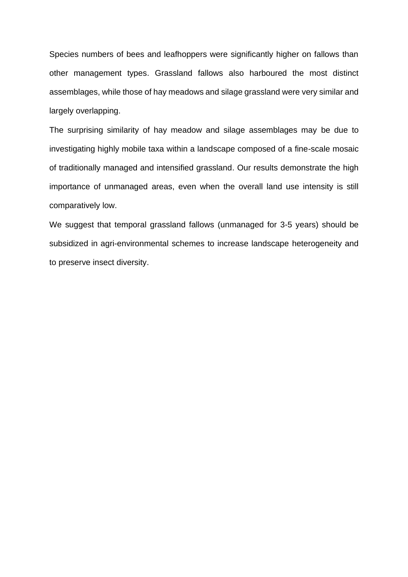Species numbers of bees and leafhoppers were significantly higher on fallows than other management types. Grassland fallows also harboured the most distinct assemblages, while those of hay meadows and silage grassland were very similar and largely overlapping.

The surprising similarity of hay meadow and silage assemblages may be due to investigating highly mobile taxa within a landscape composed of a fine-scale mosaic of traditionally managed and intensified grassland. Our results demonstrate the high importance of unmanaged areas, even when the overall land use intensity is still comparatively low.

We suggest that temporal grassland fallows (unmanaged for 3-5 years) should be subsidized in agri-environmental schemes to increase landscape heterogeneity and to preserve insect diversity.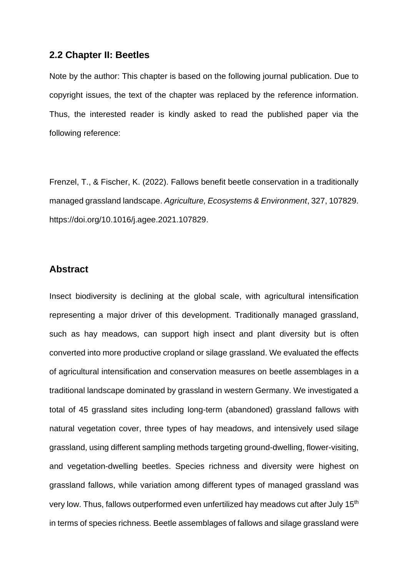## **2.2 Chapter II: Beetles**

Note by the author: This chapter is based on the following journal publication. Due to copyright issues, the text of the chapter was replaced by the reference information. Thus, the interested reader is kindly asked to read the published paper via the following reference:

Frenzel, T., & Fischer, K. (2022). Fallows benefit beetle conservation in a traditionally managed grassland landscape. *Agriculture, Ecosystems & Environment*, 327, 107829. https://doi.org/10.1016/j.agee.2021.107829.

## **Abstract**

Insect biodiversity is declining at the global scale, with agricultural intensification representing a major driver of this development. Traditionally managed grassland, such as hay meadows, can support high insect and plant diversity but is often converted into more productive cropland or silage grassland. We evaluated the effects of agricultural intensification and conservation measures on beetle assemblages in a traditional landscape dominated by grassland in western Germany. We investigated a total of 45 grassland sites including long-term (abandoned) grassland fallows with natural vegetation cover, three types of hay meadows, and intensively used silage grassland, using different sampling methods targeting ground-dwelling, flower-visiting, and vegetation-dwelling beetles. Species richness and diversity were highest on grassland fallows, while variation among different types of managed grassland was very low. Thus, fallows outperformed even unfertilized hay meadows cut after July 15<sup>th</sup> in terms of species richness. Beetle assemblages of fallows and silage grassland were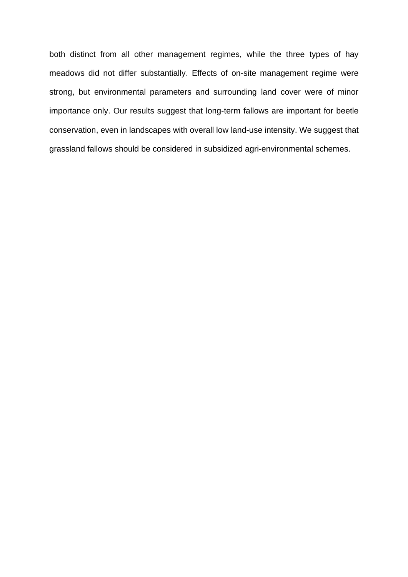both distinct from all other management regimes, while the three types of hay meadows did not differ substantially. Effects of on-site management regime were strong, but environmental parameters and surrounding land cover were of minor importance only. Our results suggest that long-term fallows are important for beetle conservation, even in landscapes with overall low land-use intensity. We suggest that grassland fallows should be considered in subsidized agri-environmental schemes.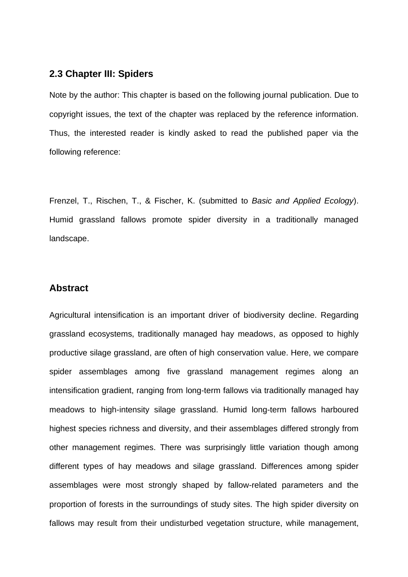## **2.3 Chapter III: Spiders**

Note by the author: This chapter is based on the following journal publication. Due to copyright issues, the text of the chapter was replaced by the reference information. Thus, the interested reader is kindly asked to read the published paper via the following reference:

Frenzel, T., Rischen, T., & Fischer, K. (submitted to *Basic and Applied Ecology*). Humid grassland fallows promote spider diversity in a traditionally managed landscape.

## **Abstract**

Agricultural intensification is an important driver of biodiversity decline. Regarding grassland ecosystems, traditionally managed hay meadows, as opposed to highly productive silage grassland, are often of high conservation value. Here, we compare spider assemblages among five grassland management regimes along an intensification gradient, ranging from long-term fallows via traditionally managed hay meadows to high-intensity silage grassland. Humid long-term fallows harboured highest species richness and diversity, and their assemblages differed strongly from other management regimes. There was surprisingly little variation though among different types of hay meadows and silage grassland. Differences among spider assemblages were most strongly shaped by fallow-related parameters and the proportion of forests in the surroundings of study sites. The high spider diversity on fallows may result from their undisturbed vegetation structure, while management,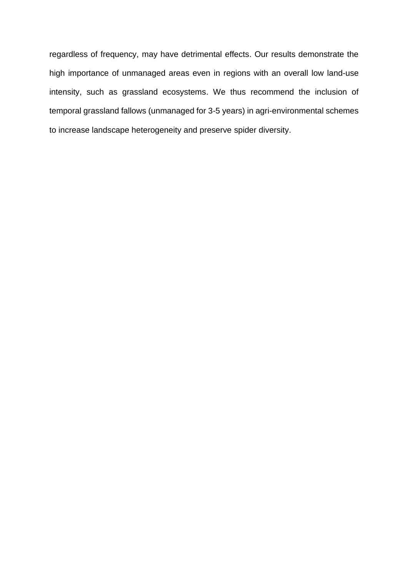regardless of frequency, may have detrimental effects. Our results demonstrate the high importance of unmanaged areas even in regions with an overall low land-use intensity, such as grassland ecosystems. We thus recommend the inclusion of temporal grassland fallows (unmanaged for 3-5 years) in agri-environmental schemes to increase landscape heterogeneity and preserve spider diversity.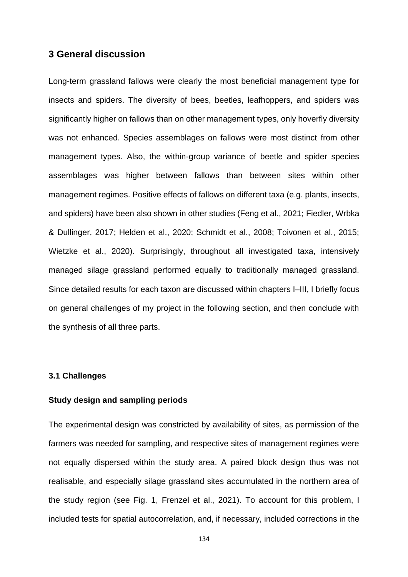## **3 General discussion**

Long-term grassland fallows were clearly the most beneficial management type for insects and spiders. The diversity of bees, beetles, leafhoppers, and spiders was significantly higher on fallows than on other management types, only hoverfly diversity was not enhanced. Species assemblages on fallows were most distinct from other management types. Also, the within-group variance of beetle and spider species assemblages was higher between fallows than between sites within other management regimes. Positive effects of fallows on different taxa (e.g. plants, insects, and spiders) have been also shown in other studies (Feng et al., 2021; Fiedler, Wrbka & Dullinger, 2017; Helden et al., 2020; Schmidt et al., 2008; Toivonen et al., 2015; Wietzke et al., 2020). Surprisingly, throughout all investigated taxa, intensively managed silage grassland performed equally to traditionally managed grassland. Since detailed results for each taxon are discussed within chapters I–III, I briefly focus on general challenges of my project in the following section, and then conclude with the synthesis of all three parts.

## **3.1 Challenges**

#### **Study design and sampling periods**

The experimental design was constricted by availability of sites, as permission of the farmers was needed for sampling, and respective sites of management regimes were not equally dispersed within the study area. A paired block design thus was not realisable, and especially silage grassland sites accumulated in the northern area of the study region (see Fig. 1, Frenzel et al., 2021). To account for this problem, I included tests for spatial autocorrelation, and, if necessary, included corrections in the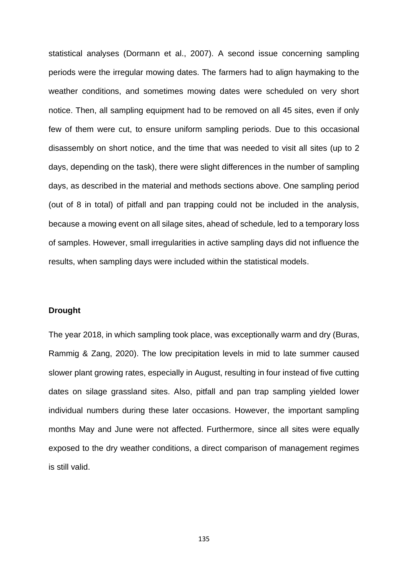statistical analyses (Dormann et al., 2007). A second issue concerning sampling periods were the irregular mowing dates. The farmers had to align haymaking to the weather conditions, and sometimes mowing dates were scheduled on very short notice. Then, all sampling equipment had to be removed on all 45 sites, even if only few of them were cut, to ensure uniform sampling periods. Due to this occasional disassembly on short notice, and the time that was needed to visit all sites (up to 2 days, depending on the task), there were slight differences in the number of sampling days, as described in the material and methods sections above. One sampling period (out of 8 in total) of pitfall and pan trapping could not be included in the analysis, because a mowing event on all silage sites, ahead of schedule, led to a temporary loss of samples. However, small irregularities in active sampling days did not influence the results, when sampling days were included within the statistical models.

#### **Drought**

The year 2018, in which sampling took place, was exceptionally warm and dry (Buras, Rammig & Zang, 2020). The low precipitation levels in mid to late summer caused slower plant growing rates, especially in August, resulting in four instead of five cutting dates on silage grassland sites. Also, pitfall and pan trap sampling yielded lower individual numbers during these later occasions. However, the important sampling months May and June were not affected. Furthermore, since all sites were equally exposed to the dry weather conditions, a direct comparison of management regimes is still valid.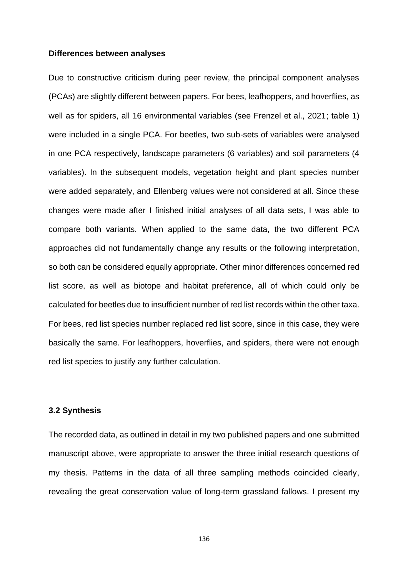#### **Differences between analyses**

Due to constructive criticism during peer review, the principal component analyses (PCAs) are slightly different between papers. For bees, leafhoppers, and hoverflies, as well as for spiders, all 16 environmental variables (see Frenzel et al., 2021; table 1) were included in a single PCA. For beetles, two sub-sets of variables were analysed in one PCA respectively, landscape parameters (6 variables) and soil parameters (4 variables). In the subsequent models, vegetation height and plant species number were added separately, and Ellenberg values were not considered at all. Since these changes were made after I finished initial analyses of all data sets, I was able to compare both variants. When applied to the same data, the two different PCA approaches did not fundamentally change any results or the following interpretation, so both can be considered equally appropriate. Other minor differences concerned red list score, as well as biotope and habitat preference, all of which could only be calculated for beetles due to insufficient number of red list records within the other taxa. For bees, red list species number replaced red list score, since in this case, they were basically the same. For leafhoppers, hoverflies, and spiders, there were not enough red list species to justify any further calculation.

### **3.2 Synthesis**

The recorded data, as outlined in detail in my two published papers and one submitted manuscript above, were appropriate to answer the three initial research questions of my thesis. Patterns in the data of all three sampling methods coincided clearly, revealing the great conservation value of long-term grassland fallows. I present my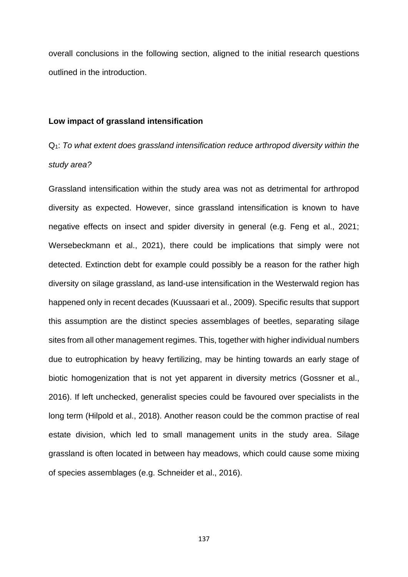overall conclusions in the following section, aligned to the initial research questions outlined in the introduction.

#### **Low impact of grassland intensification**

## Q1: *To what extent does grassland intensification reduce arthropod diversity within the study area?*

Grassland intensification within the study area was not as detrimental for arthropod diversity as expected. However, since grassland intensification is known to have negative effects on insect and spider diversity in general (e.g. Feng et al., 2021; Wersebeckmann et al., 2021), there could be implications that simply were not detected. Extinction debt for example could possibly be a reason for the rather high diversity on silage grassland, as land-use intensification in the Westerwald region has happened only in recent decades (Kuussaari et al., 2009). Specific results that support this assumption are the distinct species assemblages of beetles, separating silage sites from all other management regimes. This, together with higher individual numbers due to eutrophication by heavy fertilizing, may be hinting towards an early stage of biotic homogenization that is not yet apparent in diversity metrics (Gossner et al., 2016). If left unchecked, generalist species could be favoured over specialists in the long term (Hilpold et al., 2018). Another reason could be the common practise of real estate division, which led to small management units in the study area. Silage grassland is often located in between hay meadows, which could cause some mixing of species assemblages (e.g. Schneider et al., 2016).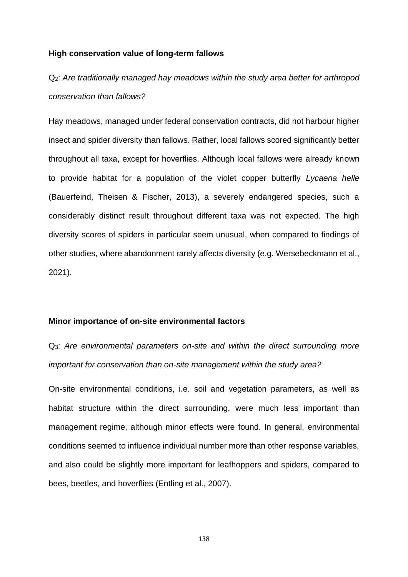#### **High conservation value of long-term fallows**

## Q2: *Are traditionally managed hay meadows within the study area better for arthropod conservation than fallows?*

Hay meadows, managed under federal conservation contracts, did not harbour higher insect and spider diversity than fallows. Rather, local fallows scored significantly better throughout all taxa, except for hoverflies. Although local fallows were already known to provide habitat for a population of the violet copper butterfly *Lycaena helle* (Bauerfeind, Theisen & Fischer, 2013), a severely endangered species, such a considerably distinct result throughout different taxa was not expected. The high diversity scores of spiders in particular seem unusual, when compared to findings of other studies, where abandonment rarely affects diversity (e.g. Wersebeckmann et al., 2021).

#### **Minor importance of on-site environmental factors**

Q3: *Are environmental parameters on-site and within the direct surrounding more important for conservation than on-site management within the study area?*

On-site environmental conditions, i.e. soil and vegetation parameters, as well as habitat structure within the direct surrounding, were much less important than management regime, although minor effects were found. In general, environmental conditions seemed to influence individual number more than other response variables, and also could be slightly more important for leafhoppers and spiders, compared to bees, beetles, and hoverflies (Entling et al., 2007).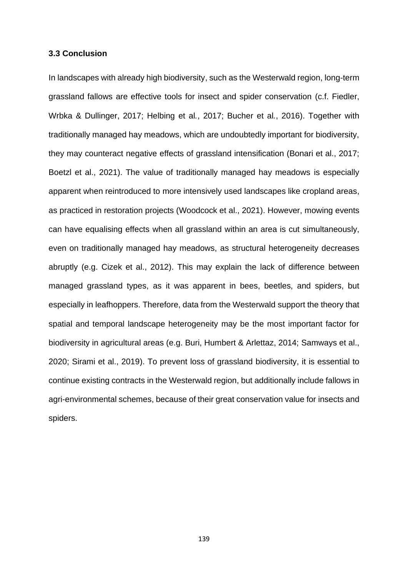#### **3.3 Conclusion**

In landscapes with already high biodiversity, such as the Westerwald region, long-term grassland fallows are effective tools for insect and spider conservation (c.f. Fiedler, Wrbka & Dullinger, 2017; Helbing et al*.*, 2017; Bucher et al*.*, 2016). Together with traditionally managed hay meadows, which are undoubtedly important for biodiversity, they may counteract negative effects of grassland intensification (Bonari et al., 2017; Boetzl et al., 2021). The value of traditionally managed hay meadows is especially apparent when reintroduced to more intensively used landscapes like cropland areas, as practiced in restoration projects (Woodcock et al., 2021). However, mowing events can have equalising effects when all grassland within an area is cut simultaneously, even on traditionally managed hay meadows, as structural heterogeneity decreases abruptly (e.g. Cizek et al., 2012). This may explain the lack of difference between managed grassland types, as it was apparent in bees, beetles, and spiders, but especially in leafhoppers. Therefore, data from the Westerwald support the theory that spatial and temporal landscape heterogeneity may be the most important factor for biodiversity in agricultural areas (e.g. Buri, Humbert & Arlettaz, 2014; Samways et al., 2020; Sirami et al., 2019). To prevent loss of grassland biodiversity, it is essential to continue existing contracts in the Westerwald region, but additionally include fallows in agri-environmental schemes, because of their great conservation value for insects and spiders.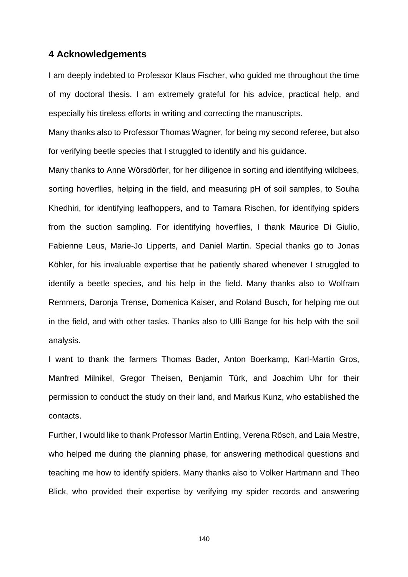## **4 Acknowledgements**

I am deeply indebted to Professor Klaus Fischer, who guided me throughout the time of my doctoral thesis. I am extremely grateful for his advice, practical help, and especially his tireless efforts in writing and correcting the manuscripts.

Many thanks also to Professor Thomas Wagner, for being my second referee, but also for verifying beetle species that I struggled to identify and his guidance.

Many thanks to Anne Wörsdörfer, for her diligence in sorting and identifying wildbees, sorting hoverflies, helping in the field, and measuring pH of soil samples, to Souha Khedhiri, for identifying leafhoppers, and to Tamara Rischen, for identifying spiders from the suction sampling. For identifying hoverflies, I thank Maurice Di Giulio, Fabienne Leus, Marie-Jo Lipperts, and Daniel Martin. Special thanks go to Jonas Köhler, for his invaluable expertise that he patiently shared whenever I struggled to identify a beetle species, and his help in the field. Many thanks also to Wolfram Remmers, Daronja Trense, Domenica Kaiser, and Roland Busch, for helping me out in the field, and with other tasks. Thanks also to Ulli Bange for his help with the soil analysis.

I want to thank the farmers Thomas Bader, Anton Boerkamp, Karl-Martin Gros, Manfred Milnikel, Gregor Theisen, Benjamin Türk, and Joachim Uhr for their permission to conduct the study on their land, and Markus Kunz, who established the contacts.

Further, I would like to thank Professor Martin Entling, Verena Rösch, and Laia Mestre, who helped me during the planning phase, for answering methodical questions and teaching me how to identify spiders. Many thanks also to Volker Hartmann and Theo Blick, who provided their expertise by verifying my spider records and answering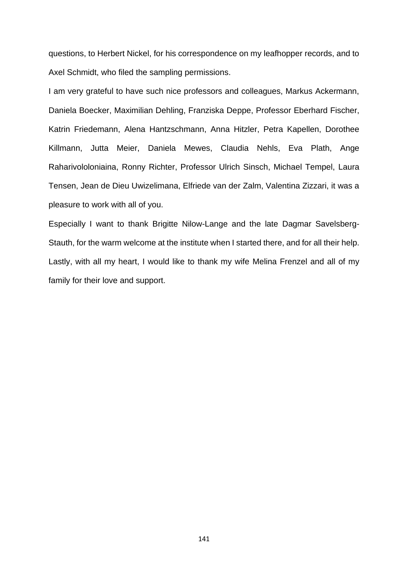questions, to Herbert Nickel, for his correspondence on my leafhopper records, and to Axel Schmidt, who filed the sampling permissions.

I am very grateful to have such nice professors and colleagues, Markus Ackermann, Daniela Boecker, Maximilian Dehling, Franziska Deppe, Professor Eberhard Fischer, Katrin Friedemann, Alena Hantzschmann, Anna Hitzler, Petra Kapellen, Dorothee Killmann, Jutta Meier, Daniela Mewes, Claudia Nehls, Eva Plath, Ange Raharivololoniaina, Ronny Richter, Professor Ulrich Sinsch, Michael Tempel, Laura Tensen, Jean de Dieu Uwizelimana, Elfriede van der Zalm, Valentina Zizzari, it was a pleasure to work with all of you.

Especially I want to thank Brigitte Nilow-Lange and the late Dagmar Savelsberg-Stauth, for the warm welcome at the institute when I started there, and for all their help. Lastly, with all my heart, I would like to thank my wife Melina Frenzel and all of my family for their love and support.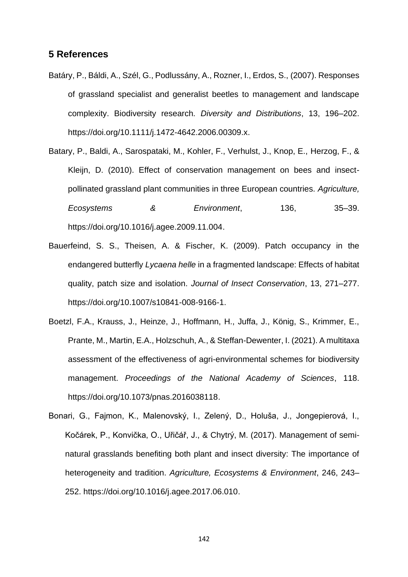## **5 References**

- Batáry, P., Báldi, A., Szél, G., Podlussány, A., Rozner, I., Erdos, S., (2007). Responses of grassland specialist and generalist beetles to management and landscape complexity. Biodiversity research. *Diversity and Distributions*, 13, 196–202. https://doi.org/10.1111/j.1472-4642.2006.00309.x.
- Batary, P., Baldi, A., Sarospataki, M., Kohler, F., Verhulst, J., Knop, E., Herzog, F., & Kleijn, D. (2010). Effect of conservation management on bees and insectpollinated grassland plant communities in three European countries. *Agriculture, Ecosystems & Environment*, 136, 35–39. https://doi.org/10.1016/j.agee.2009.11.004.
- Bauerfeind, S. S., Theisen, A. & Fischer, K. (2009). Patch occupancy in the endangered butterfly *Lycaena helle* in a fragmented landscape: Effects of habitat quality, patch size and isolation. *Journal of Insect Conservation*, 13, 271–277. https://doi.org/10.1007/s10841-008-9166-1.
- Boetzl, F.A., Krauss, J., Heinze, J., Hoffmann, H., Juffa, J., König, S., Krimmer, E., Prante, M., Martin, E.A., Holzschuh, A., & Steffan-Dewenter, I. (2021). A multitaxa assessment of the effectiveness of agri-environmental schemes for biodiversity management. *Proceedings of the National Academy of Sciences*, 118. https://doi.org/10.1073/pnas.2016038118.
- Bonari, G., Fajmon, K., Malenovský, I., Zelený, D., Holuša, J., Jongepierová, I., Kočárek, P., Konvička, O., Uřičář, J., & Chytrý, M. (2017). Management of seminatural grasslands benefiting both plant and insect diversity: The importance of heterogeneity and tradition. *Agriculture, Ecosystems & Environment*, 246, 243– 252. https://doi.org/10.1016/j.agee.2017.06.010.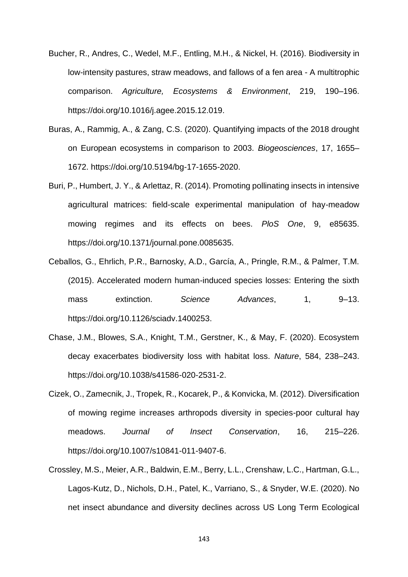- Bucher, R., Andres, C., Wedel, M.F., Entling, M.H., & Nickel, H. (2016). Biodiversity in low-intensity pastures, straw meadows, and fallows of a fen area - A multitrophic comparison. *Agriculture, Ecosystems & Environment*, 219, 190–196. https://doi.org/10.1016/j.agee.2015.12.019.
- Buras, A., Rammig, A., & Zang, C.S. (2020). Quantifying impacts of the 2018 drought on European ecosystems in comparison to 2003. *Biogeosciences*, 17, 1655– 1672. https://doi.org/10.5194/bg-17-1655-2020.
- Buri, P., Humbert, J. Y., & Arlettaz, R. (2014). Promoting pollinating insects in intensive agricultural matrices: field-scale experimental manipulation of hay-meadow mowing regimes and its effects on bees. *PloS One*, 9, e85635. https://doi.org/10.1371/journal.pone.0085635.
- Ceballos, G., Ehrlich, P.R., Barnosky, A.D., García, A., Pringle, R.M., & Palmer, T.M. (2015). Accelerated modern human-induced species losses: Entering the sixth mass extinction. *Science Advances*, 1, 9-13. https://doi.org/10.1126/sciadv.1400253.
- Chase, J.M., Blowes, S.A., Knight, T.M., Gerstner, K., & May, F. (2020). Ecosystem decay exacerbates biodiversity loss with habitat loss. *Nature*, 584, 238–243. https://doi.org/10.1038/s41586-020-2531-2.
- Cizek, O., Zamecnik, J., Tropek, R., Kocarek, P., & Konvicka, M. (2012). Diversification of mowing regime increases arthropods diversity in species-poor cultural hay meadows. *Journal of Insect Conservation*, 16, 215–226. https://doi.org/10.1007/s10841-011-9407-6.
- Crossley, M.S., Meier, A.R., Baldwin, E.M., Berry, L.L., Crenshaw, L.C., Hartman, G.L., Lagos-Kutz, D., Nichols, D.H., Patel, K., Varriano, S., & Snyder, W.E. (2020). No net insect abundance and diversity declines across US Long Term Ecological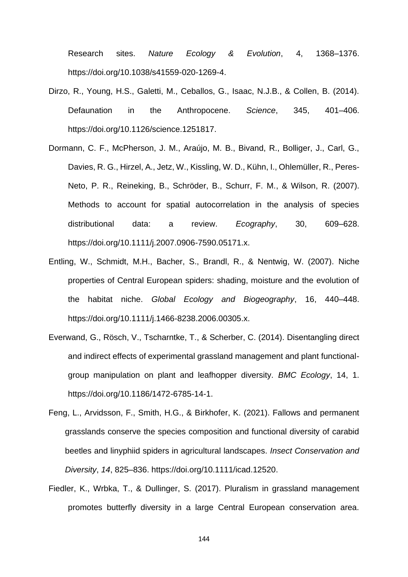Research sites. *Nature Ecology & Evolution*, 4, 1368–1376. https://doi.org/10.1038/s41559-020-1269-4.

- Dirzo, R., Young, H.S., Galetti, M., Ceballos, G., Isaac, N.J.B., & Collen, B. (2014). Defaunation in the Anthropocene. *Science*, 345, 401–406. https://doi.org/10.1126/science.1251817.
- Dormann, C. F., McPherson, J. M., Araújo, M. B., Bivand, R., Bolliger, J., Carl, G., Davies, R. G., Hirzel, A., Jetz, W., Kissling, W. D., Kühn, I., Ohlemüller, R., Peres-Neto, P. R., Reineking, B., Schröder, B., Schurr, F. M., & Wilson, R. (2007). Methods to account for spatial autocorrelation in the analysis of species distributional data: a review. *Ecography*, 30, 609–628. https://doi.org/10.1111/j.2007.0906-7590.05171.x.
- Entling, W., Schmidt, M.H., Bacher, S., Brandl, R., & Nentwig, W. (2007). Niche properties of Central European spiders: shading, moisture and the evolution of the habitat niche. *Global Ecology and Biogeography*, 16, 440–448. https://doi.org/10.1111/j.1466-8238.2006.00305.x.
- Everwand, G., Rösch, V., Tscharntke, T., & Scherber, C. (2014). Disentangling direct and indirect effects of experimental grassland management and plant functionalgroup manipulation on plant and leafhopper diversity. *BMC Ecology*, 14, 1. https://doi.org/10.1186/1472-6785-14-1.
- Feng, L., Arvidsson, F., Smith, H.G., & Birkhofer, K. (2021). Fallows and permanent grasslands conserve the species composition and functional diversity of carabid beetles and linyphiid spiders in agricultural landscapes. *Insect Conservation and Diversity*, *14*, 825–836. https://doi.org/10.1111/icad.12520.
- Fiedler, K., Wrbka, T., & Dullinger, S. (2017). Pluralism in grassland management promotes butterfly diversity in a large Central European conservation area.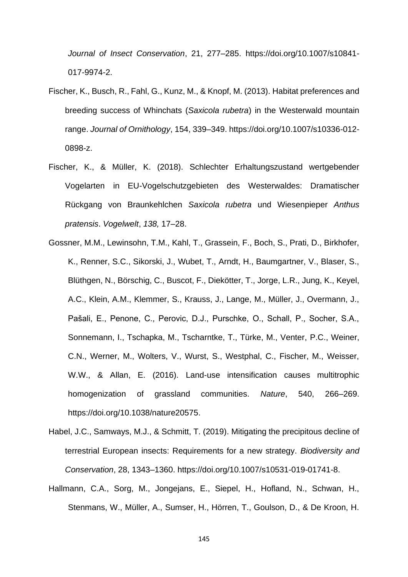*Journal of Insect Conservation*, 21, 277–285. https://doi.org/10.1007/s10841- 017-9974-2.

- Fischer, K., Busch, R., Fahl, G., Kunz, M., & Knopf, M. (2013). Habitat preferences and breeding success of Whinchats (*Saxicola rubetra*) in the Westerwald mountain range. *Journal of Ornithology*, 154, 339–349. https://doi.org/10.1007/s10336-012- 0898-z.
- Fischer, K., & Müller, K. (2018). Schlechter Erhaltungszustand wertgebender Vogelarten in EU-Vogelschutzgebieten des Westerwaldes: Dramatischer Rückgang von Braunkehlchen *Saxicola rubetra* und Wiesenpieper *Anthus pratensis*. *Vogelwelt*, *138,* 17–28.
- Gossner, M.M., Lewinsohn, T.M., Kahl, T., Grassein, F., Boch, S., Prati, D., Birkhofer, K., Renner, S.C., Sikorski, J., Wubet, T., Arndt, H., Baumgartner, V., Blaser, S., Blüthgen, N., Börschig, C., Buscot, F., Diekötter, T., Jorge, L.R., Jung, K., Keyel, A.C., Klein, A.M., Klemmer, S., Krauss, J., Lange, M., Müller, J., Overmann, J., Pašali, E., Penone, C., Perovic, D.J., Purschke, O., Schall, P., Socher, S.A., Sonnemann, I., Tschapka, M., Tscharntke, T., Türke, M., Venter, P.C., Weiner, C.N., Werner, M., Wolters, V., Wurst, S., Westphal, C., Fischer, M., Weisser, W.W., & Allan, E. (2016). Land-use intensification causes multitrophic homogenization of grassland communities. *Nature*, 540, 266–269. https://doi.org/10.1038/nature20575.
- Habel, J.C., Samways, M.J., & Schmitt, T. (2019). Mitigating the precipitous decline of terrestrial European insects: Requirements for a new strategy. *Biodiversity and Conservation*, 28, 1343–1360. https://doi.org/10.1007/s10531-019-01741-8.
- Hallmann, C.A., Sorg, M., Jongejans, E., Siepel, H., Hofland, N., Schwan, H., Stenmans, W., Müller, A., Sumser, H., Hörren, T., Goulson, D., & De Kroon, H.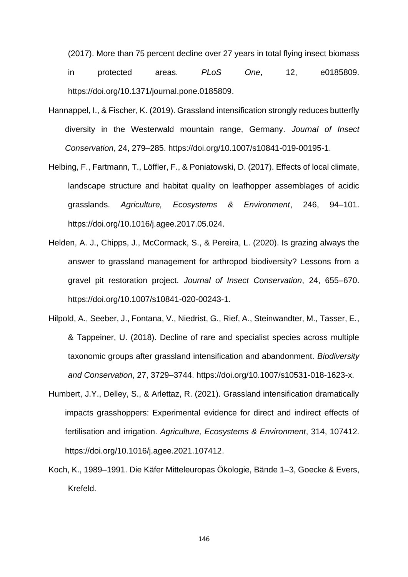(2017). More than 75 percent decline over 27 years in total flying insect biomass in protected areas. *PLoS One*, 12, e0185809. https://doi.org/10.1371/journal.pone.0185809.

- Hannappel, I., & Fischer, K. (2019). Grassland intensification strongly reduces butterfly diversity in the Westerwald mountain range, Germany. *Journal of Insect Conservation*, 24, 279–285. https://doi.org/10.1007/s10841-019-00195-1.
- Helbing, F., Fartmann, T., Löffler, F., & Poniatowski, D. (2017). Effects of local climate, landscape structure and habitat quality on leafhopper assemblages of acidic grasslands. *Agriculture, Ecosystems & Environment*, 246, 94–101. https://doi.org/10.1016/j.agee.2017.05.024.
- Helden, A. J., Chipps, J., McCormack, S., & Pereira, L. (2020). Is grazing always the answer to grassland management for arthropod biodiversity? Lessons from a gravel pit restoration project. *Journal of Insect Conservation*, 24, 655–670. https://doi.org/10.1007/s10841-020-00243-1.
- Hilpold, A., Seeber, J., Fontana, V., Niedrist, G., Rief, A., Steinwandter, M., Tasser, E., & Tappeiner, U. (2018). Decline of rare and specialist species across multiple taxonomic groups after grassland intensification and abandonment. *Biodiversity and Conservation*, 27, 3729–3744. https://doi.org/10.1007/s10531-018-1623-x.
- Humbert, J.Y., Delley, S., & Arlettaz, R. (2021). Grassland intensification dramatically impacts grasshoppers: Experimental evidence for direct and indirect effects of fertilisation and irrigation. *Agriculture, Ecosystems & Environment*, 314, 107412. https://doi.org/10.1016/j.agee.2021.107412.
- Koch, K., 1989–1991. Die Käfer Mitteleuropas Ökologie, Bände 1–3, Goecke & Evers, Krefeld.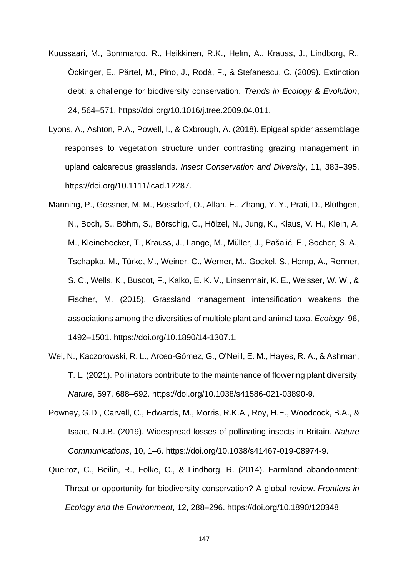- Kuussaari, M., Bommarco, R., Heikkinen, R.K., Helm, A., Krauss, J., Lindborg, R., Öckinger, E., Pärtel, M., Pino, J., Rodà, F., & Stefanescu, C. (2009). Extinction debt: a challenge for biodiversity conservation. *Trends in Ecology & Evolution*, 24, 564–571. https://doi.org/10.1016/j.tree.2009.04.011.
- Lyons, A., Ashton, P.A., Powell, I., & Oxbrough, A. (2018). Epigeal spider assemblage responses to vegetation structure under contrasting grazing management in upland calcareous grasslands. *Insect Conservation and Diversity*, 11, 383–395. https://doi.org/10.1111/icad.12287.
- Manning, P., Gossner, M. M., Bossdorf, O., Allan, E., Zhang, Y. Y., Prati, D., Blüthgen, N., Boch, S., Böhm, S., Börschig, C., Hölzel, N., Jung, K., Klaus, V. H., Klein, A. M., Kleinebecker, T., Krauss, J., Lange, M., Müller, J., Pašalić, E., Socher, S. A., Tschapka, M., Türke, M., Weiner, C., Werner, M., Gockel, S., Hemp, A., Renner, S. C., Wells, K., Buscot, F., Kalko, E. K. V., Linsenmair, K. E., Weisser, W. W., & Fischer, M. (2015). Grassland management intensification weakens the associations among the diversities of multiple plant and animal taxa. *Ecology*, 96, 1492–1501. https://doi.org/10.1890/14-1307.1.
- Wei, N., Kaczorowski, R. L., Arceo-Gómez, G., O'Neill, E. M., Hayes, R. A., & Ashman, T. L. (2021). Pollinators contribute to the maintenance of flowering plant diversity. *Nature*, 597, 688–692. https://doi.org/10.1038/s41586-021-03890-9.
- Powney, G.D., Carvell, C., Edwards, M., Morris, R.K.A., Roy, H.E., Woodcock, B.A., & Isaac, N.J.B. (2019). Widespread losses of pollinating insects in Britain. *Nature Communications*, 10, 1–6. https://doi.org/10.1038/s41467-019-08974-9.
- Queiroz, C., Beilin, R., Folke, C., & Lindborg, R. (2014). Farmland abandonment: Threat or opportunity for biodiversity conservation? A global review. *Frontiers in Ecology and the Environment*, 12, 288–296. https://doi.org/10.1890/120348.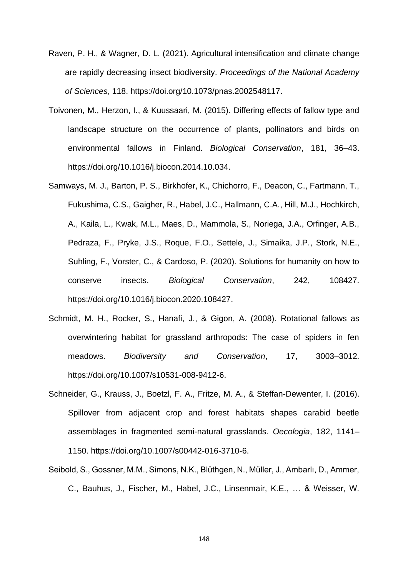- Raven, P. H., & Wagner, D. L. (2021). Agricultural intensification and climate change are rapidly decreasing insect biodiversity. *Proceedings of the National Academy of Sciences*, 118. https://doi.org/10.1073/pnas.2002548117.
- Toivonen, M., Herzon, I., & Kuussaari, M. (2015). Differing effects of fallow type and landscape structure on the occurrence of plants, pollinators and birds on environmental fallows in Finland. *Biological Conservation*, 181, 36–43. https://doi.org/10.1016/j.biocon.2014.10.034.
- Samways, M. J., Barton, P. S., Birkhofer, K., Chichorro, F., Deacon, C., Fartmann, T., Fukushima, C.S., Gaigher, R., Habel, J.C., Hallmann, C.A., Hill, M.J., Hochkirch, A., Kaila, L., Kwak, M.L., Maes, D., Mammola, S., Noriega, J.A., Orfinger, A.B., Pedraza, F., Pryke, J.S., Roque, F.O., Settele, J., Simaika, J.P., Stork, N.E., Suhling, F., Vorster, C., & Cardoso, P. (2020). Solutions for humanity on how to conserve insects. *Biological Conservation*, 242, 108427. https://doi.org/10.1016/j.biocon.2020.108427.
- Schmidt, M. H., Rocker, S., Hanafi, J., & Gigon, A. (2008). Rotational fallows as overwintering habitat for grassland arthropods: The case of spiders in fen meadows. *Biodiversity and Conservation*, 17, 3003–3012. https://doi.org/10.1007/s10531-008-9412-6.
- Schneider, G., Krauss, J., Boetzl, F. A., Fritze, M. A., & Steffan-Dewenter, I. (2016). Spillover from adjacent crop and forest habitats shapes carabid beetle assemblages in fragmented semi-natural grasslands. *Oecologia*, 182, 1141– 1150. https://doi.org/10.1007/s00442-016-3710-6.
- Seibold, S., Gossner, M.M., Simons, N.K., Blüthgen, N., Müller, J., Ambarlı, D., Ammer, C., Bauhus, J., Fischer, M., Habel, J.C., Linsenmair, K.E., … & Weisser, W.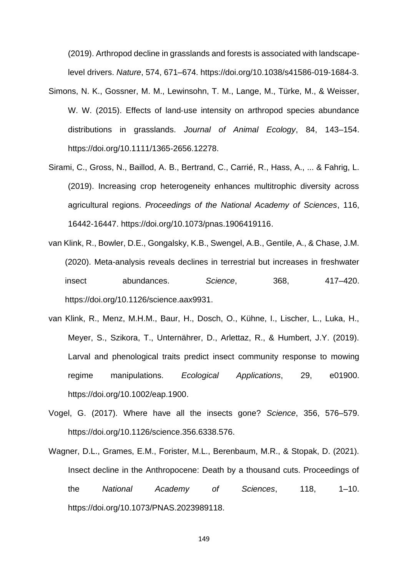(2019). Arthropod decline in grasslands and forests is associated with landscapelevel drivers. *Nature*, 574, 671–674. https://doi.org/10.1038/s41586-019-1684-3.

- Simons, N. K., Gossner, M. M., Lewinsohn, T. M., Lange, M., Türke, M., & Weisser, W. W. (2015). Effects of land‐use intensity on arthropod species abundance distributions in grasslands. *Journal of Animal Ecology*, 84, 143–154. https://doi.org/10.1111/1365-2656.12278.
- Sirami, C., Gross, N., Baillod, A. B., Bertrand, C., Carrié, R., Hass, A., ... & Fahrig, L. (2019). Increasing crop heterogeneity enhances multitrophic diversity across agricultural regions. *Proceedings of the National Academy of Sciences*, 116, 16442-16447. https://doi.org/10.1073/pnas.1906419116.
- van Klink, R., Bowler, D.E., Gongalsky, K.B., Swengel, A.B., Gentile, A., & Chase, J.M. (2020). Meta-analysis reveals declines in terrestrial but increases in freshwater insect abundances. *Science*, 368, 417–420. https://doi.org/10.1126/science.aax9931.
- van Klink, R., Menz, M.H.M., Baur, H., Dosch, O., Kühne, I., Lischer, L., Luka, H., Meyer, S., Szikora, T., Unternährer, D., Arlettaz, R., & Humbert, J.Y. (2019). Larval and phenological traits predict insect community response to mowing regime manipulations. *Ecological Applications*, 29, e01900. https://doi.org/10.1002/eap.1900.
- Vogel, G. (2017). Where have all the insects gone? *Science*, 356, 576–579. https://doi.org/10.1126/science.356.6338.576.
- Wagner, D.L., Grames, E.M., Forister, M.L., Berenbaum, M.R., & Stopak, D. (2021). Insect decline in the Anthropocene: Death by a thousand cuts. Proceedings of the *National Academy of Sciences*, 118, 1–10. https://doi.org/10.1073/PNAS.2023989118.